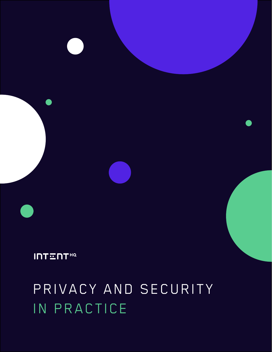# PRIVACY AND SECURITY IN PRACTICE

**INTENT<sup>HQ</sup>**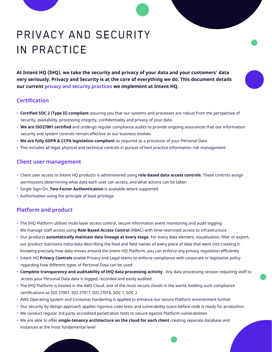## PRIVACY AND SECURITY IN PRACTICE

**At Intent HQ (IHQ), we take the security and privacy of your data and your customers' data very seriously. Privacy and Security is at the core of everything we do. This document details our current privacy and security practices we implement at Intent HQ.**

#### **Certification**

- **Certified SOC 2 (Type II) compliant** assuring you that our systems and processes are robust from the perspective of security, availability, processing integrity, confidentiality and privacy of your data
- **We are ISO27001 certified** and undergo regular compliance audits to provide ongoing assurances that our information security and system controls remain effective as our business evolves
- **We are fully GDPR & CCPA legislation compliant** as required as a processor of your Personal Data
- This includes all legal, physical and technical controls in pursuit of best practice information risk management

#### **Client user management**

- Client user access to Intent HQ products is administered using **role-based data access controls**. These controls assign permissions determining what data each user can access, and what actions can be taken
- Single Sign-On, **Two-Factor Authentication** is available where supported
- Authorisation using the principle of least privilege

#### **Platform and product**

- The IHQ Platform utilises multi-layer access control, secure information event monitoring and audit logging
- We manage staff access using **Role Based Access Control** (RBAC) with time-restricted access to infrastructure
- Our products **automatically maintain data lineage at every stage**. For every data element, visualisation, filter or export, our product maintains meta-data describing the feed and field names of every piece of data that went into creating it. Knowing precisely how data moves around the Intent HQ Platform, you can enforce any privacy regulation efficiently
- Intent HQ **Privacy Controls** enable Privacy and Legal teams to enforce compliance with corporate or legislative policy regarding how different types of Personal Data can be used
- **Complete transparency and auditability of IHQ data processing activity**. Any data processing session requiring staff to access your Personal Data data is logged, recorded and easily audited
- The IHQ Platform is hosted in the AWS Cloud, one of the most secure clouds in the world, holding such compliance certifications as ISO 27001, ISO 27017, ISO 27018, SOC 1, SOC 2
- AWS Operating System and Container hardening is applied to enhance our secure Platform environment further
- Our security by design approach applies rigorous code tests and vulnerability scans before code is ready for production
- We conduct regular 3rd party accredited penetration tests to secure against Platform vulnerabilities
- We are able to offer **single-tenancy architecture on the cloud for each client** creating separate database and instances at the most fundamental level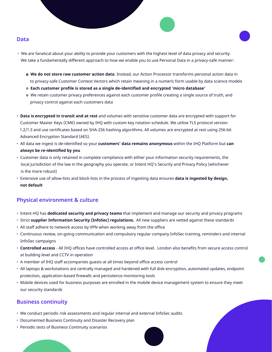#### **Data**

- We are fanatical about your ability to provide your customers with the highest level of data privacy and security. We take a fundamentally different approach to how we enable you to use Personal Data in a privacy-safe manner:
	- **○ We do not store raw customer action data**. Instead, our Action Processor transforms personal action data in to privacy-safe Customer Context Vectors which retain meaning in a numeric form usable by data science models
	- ○ **Each customer profile is stored as a single de-identified and encrypted 'micro database'**
	- We retain customer privacy preferences against each customer profile creating a single source of truth, and privacy control against each customers data
- **Data is encrypted in transit and at rest** and volumes with sensitive customer data are encrypted with support for Customer Master Keys (CMK) owned by IHQ with custom key rotation schedule. We utilise TLS protocol version 1.2/1.3 and use certificates based on SHA-256 hashing algorithms. All volumes are encrypted at rest using 256-bit Advanced Encryption Standard (AES).
- All data we ingest is de-identified so your **customers' data remains anonymous** within the IHQ Platform but **can always be re-identified by you**
- Customer data is only retained in complete compliance with either your information security requirements, the local jurisdiction of the law in the geography you operate, or Intent HQ's Security and Privacy Policy (whichever is the more robust)
- Extensive use of allow-lists and block-lists in the process of ingesting data ensures **data is ingested by design, not default**

#### **Physical environment & culture**

- Intent HQ has **dedicated security and privacy teams** that implement and manage our security and privacy programs
- Strict **supplier Information Security (InfoSec) regulations.** All new suppliers are vetted against these standards
- All staff adhere to network access by VPN when working away from the office
- Continuous review, on-going communication and compulsory regular company InfoSec training, reminders and internal InfoSec campaigns
- **Controlled access** All IHQ offices have controlled access at office level. London also benefits from secure access control at building level and CCTV in operation
- A member of IHQ staff accompanies guests at all times beyond office access control
- All laptops & workstations are centrally managed and hardened with full disk-encryption, automated updates, endpoint protection, application-based firewalls and persistence monitoring tools
- Mobile devices used for business purposes are enrolled in the mobile device management system to ensure they meet our security standards

#### **Business continuity**

- We conduct periodic risk assessments and regular internal and external InfoSec audits
- Documented Business Continuity and Disaster Recovery plan
- Periodic tests of Business Continuity scenarios